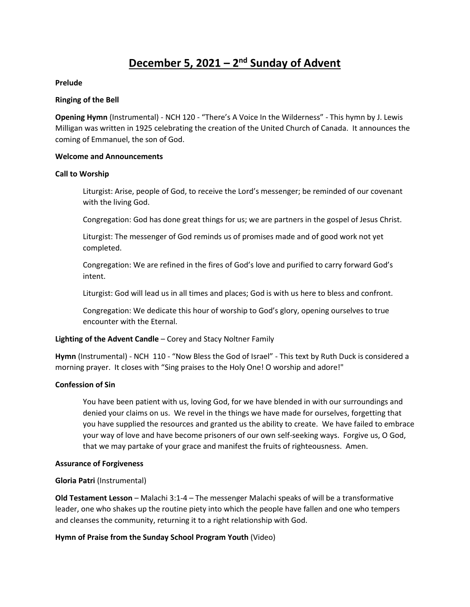# **December 5, 2021 – 2<sup>nd</sup> Sunday of Advent**

#### **Prelude**

#### **Ringing of the Bell**

**Opening Hymn** (Instrumental) - NCH 120 - "There's A Voice In the Wilderness" - This hymn by J. Lewis Milligan was written in 1925 celebrating the creation of the United Church of Canada. It announces the coming of Emmanuel, the son of God.

#### **Welcome and Announcements**

#### **Call to Worship**

Liturgist: Arise, people of God, to receive the Lord's messenger; be reminded of our covenant with the living God.

Congregation: God has done great things for us; we are partners in the gospel of Jesus Christ.

Liturgist: The messenger of God reminds us of promises made and of good work not yet completed.

Congregation: We are refined in the fires of God's love and purified to carry forward God's intent.

Liturgist: God will lead us in all times and places; God is with us here to bless and confront.

Congregation: We dedicate this hour of worship to God's glory, opening ourselves to true encounter with the Eternal.

## **Lighting of the Advent Candle** – Corey and Stacy Noltner Family

**Hymn** (Instrumental) - NCH 110 - "Now Bless the God of Israel" - This text by Ruth Duck is considered a morning prayer. It closes with "Sing praises to the Holy One! O worship and adore!"

## **Confession of Sin**

You have been patient with us, loving God, for we have blended in with our surroundings and denied your claims on us. We revel in the things we have made for ourselves, forgetting that you have supplied the resources and granted us the ability to create. We have failed to embrace your way of love and have become prisoners of our own self-seeking ways. Forgive us, O God, that we may partake of your grace and manifest the fruits of righteousness. Amen.

## **Assurance of Forgiveness**

## **Gloria Patri** (Instrumental)

**Old Testament Lesson** – Malachi 3:1-4 – The messenger Malachi speaks of will be a transformative leader, one who shakes up the routine piety into which the people have fallen and one who tempers and cleanses the community, returning it to a right relationship with God.

## **Hymn of Praise from the Sunday School Program Youth** (Video)